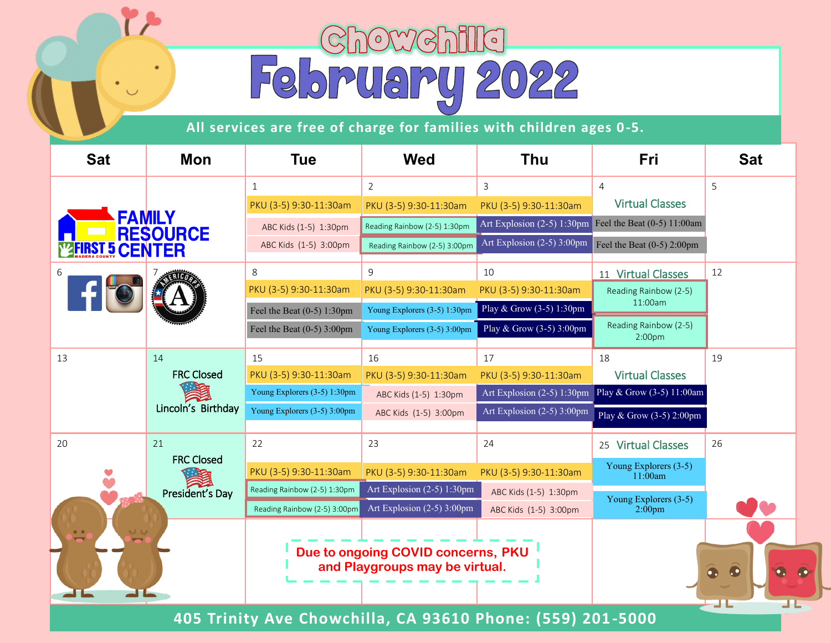## Chowchilla<br>February 2022

**All services are free of charge for families with children ages 0 -5.**

| <b>Sat</b>         | Mon                                                                                            | <b>Tue</b>                                                 | <b>Wed</b>                   | <b>Thu</b>                 | Fri                                         | <b>Sat</b> |
|--------------------|------------------------------------------------------------------------------------------------|------------------------------------------------------------|------------------------------|----------------------------|---------------------------------------------|------------|
|                    |                                                                                                | $\mathbf{1}$                                               | $\overline{2}$               | 3                          | $\overline{4}$                              | 5          |
|                    | <b>FAMILY<br/>RESOURCE</b>                                                                     | PKU (3-5) 9:30-11:30am                                     | PKU (3-5) 9:30-11:30am       | PKU (3-5) 9:30-11:30am     | <b>Virtual Classes</b>                      |            |
|                    |                                                                                                | ABC Kids (1-5) 1:30pm                                      | Reading Rainbow (2-5) 1:30pm | Art Explosion (2-5) 1:30pm | Feel the Beat $(0-5)$ 11:00am               |            |
| <b>ST 5 CENTER</b> |                                                                                                | ABC Kids (1-5) 3:00pm                                      | Reading Rainbow (2-5) 3:00pm | Art Explosion (2-5) 3:00pm | Feel the Beat $(0-5)$ 2:00pm                |            |
| 6                  |                                                                                                | 8                                                          | 9                            | 10                         | 11 Virtual Classes                          | 12         |
|                    |                                                                                                | PKU (3-5) 9:30-11:30am                                     | PKU (3-5) 9:30-11:30am       | PKU (3-5) 9:30-11:30am     | Reading Rainbow (2-5)                       |            |
|                    |                                                                                                | Feel the Beat $(0-5)$ 1:30pm                               | Young Explorers (3-5) 1:30pm | Play & Grow (3-5) 1:30pm   | 11:00am                                     |            |
|                    |                                                                                                | Feel the Beat $(0-5)$ 3:00pm                               | Young Explorers (3-5) 3:00pm | Play & Grow (3-5) 3:00pm   | Reading Rainbow (2-5)<br>2:00 <sub>pm</sub> |            |
| 13                 | 14                                                                                             | 15                                                         | 16                           | 17                         | 18                                          | 19         |
|                    | <b>FRC Closed</b>                                                                              | PKU (3-5) 9:30-11:30am                                     | PKU (3-5) 9:30-11:30am       | PKU (3-5) 9:30-11:30am     | <b>Virtual Classes</b>                      |            |
|                    |                                                                                                | Young Explorers (3-5) 1:30pm                               | ABC Kids (1-5) 1:30pm        | Art Explosion (2-5) 1:30pm | Play & Grow (3-5) 11:00am                   |            |
|                    | Lincoln's Birthday                                                                             | Young Explorers (3-5) 3:00pm                               | ABC Kids (1-5) 3:00pm        | Art Explosion (2-5) 3:00pm | Play & Grow (3-5) 2:00pm                    |            |
| 20                 | 21<br><b>FRC Closed</b>                                                                        | 22                                                         | 23                           | 24                         | 25 Virtual Classes                          | 26         |
|                    |                                                                                                | PKU (3-5) 9:30-11:30am                                     | PKU (3-5) 9:30-11:30am       | PKU (3-5) 9:30-11:30am     | Young Explorers (3-5)<br>11:00am            |            |
|                    | President's Day                                                                                | Reading Rainbow (2-5) 1:30pm                               | Art Explosion (2-5) 1:30pm   | ABC Kids (1-5) 1:30pm      | Young Explorers (3-5)                       |            |
|                    |                                                                                                | Reading Rainbow (2-5) 3:00pm                               | Art Explosion (2-5) 3:00pm   | ABC Kids (1-5) 3:00pm      | $2:00$ pm                                   |            |
|                    |                                                                                                |                                                            |                              |                            |                                             |            |
|                    | Due to ongoing COVID concerns, PKU<br>and Playgroups may be virtual.<br>$\bullet$<br>$\bullet$ |                                                            |                              |                            |                                             | пE         |
|                    |                                                                                                | 405 Trinity Ave Chowchilla, CA 93610 Phone: (559) 201-5000 |                              |                            |                                             |            |